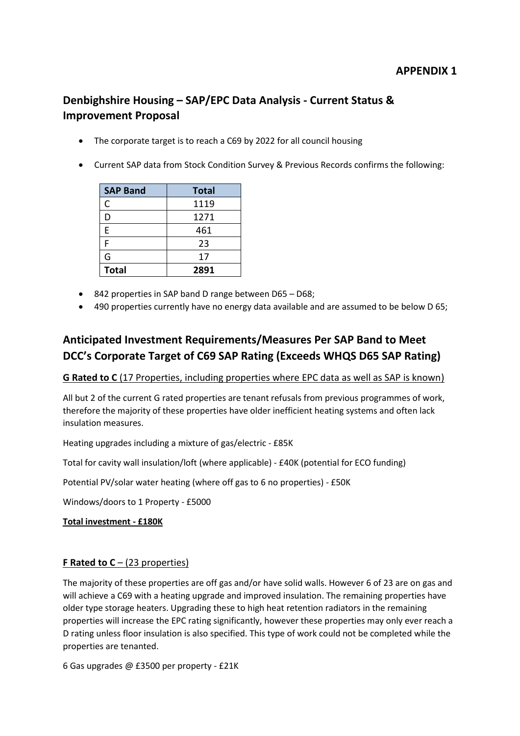# **APPENDIX 1**

# **Denbighshire Housing – SAP/EPC Data Analysis - Current Status & Improvement Proposal**

- The corporate target is to reach a C69 by 2022 for all council housing
- Current SAP data from Stock Condition Survey & Previous Records confirms the following:

| <b>SAP Band</b> | <b>Total</b> |
|-----------------|--------------|
| C               | 1119         |
| D               | 1271         |
| F               | 461          |
| F               | 23           |
| G               | 17           |
| <b>Total</b>    | 2891         |

- 842 properties in SAP band D range between D65 D68;
- 490 properties currently have no energy data available and are assumed to be below D 65;

# **Anticipated Investment Requirements/Measures Per SAP Band to Meet DCC's Corporate Target of C69 SAP Rating (Exceeds WHQS D65 SAP Rating)**

## **G Rated to C** (17 Properties, including properties where EPC data as well as SAP is known)

All but 2 of the current G rated properties are tenant refusals from previous programmes of work, therefore the majority of these properties have older inefficient heating systems and often lack insulation measures.

Heating upgrades including a mixture of gas/electric - £85K

Total for cavity wall insulation/loft (where applicable) - £40K (potential for ECO funding)

Potential PV/solar water heating (where off gas to 6 no properties) - £50K

Windows/doors to 1 Property - £5000

**Total investment - £180K**

## **F Rated to C** – (23 properties)

The majority of these properties are off gas and/or have solid walls. However 6 of 23 are on gas and will achieve a C69 with a heating upgrade and improved insulation. The remaining properties have older type storage heaters. Upgrading these to high heat retention radiators in the remaining properties will increase the EPC rating significantly, however these properties may only ever reach a D rating unless floor insulation is also specified. This type of work could not be completed while the properties are tenanted.

6 Gas upgrades @ £3500 per property - £21K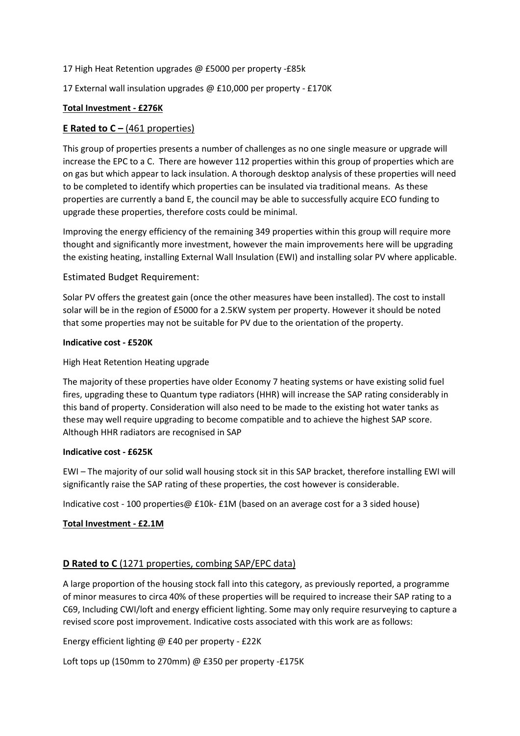17 High Heat Retention upgrades @ £5000 per property -£85k

17 External wall insulation upgrades @ £10,000 per property - £170K

#### **Total Investment - £276K**

## **E Rated to C –** (461 properties)

This group of properties presents a number of challenges as no one single measure or upgrade will increase the EPC to a C. There are however 112 properties within this group of properties which are on gas but which appear to lack insulation. A thorough desktop analysis of these properties will need to be completed to identify which properties can be insulated via traditional means. As these properties are currently a band E, the council may be able to successfully acquire ECO funding to upgrade these properties, therefore costs could be minimal.

Improving the energy efficiency of the remaining 349 properties within this group will require more thought and significantly more investment, however the main improvements here will be upgrading the existing heating, installing External Wall Insulation (EWI) and installing solar PV where applicable.

#### Estimated Budget Requirement:

Solar PV offers the greatest gain (once the other measures have been installed). The cost to install solar will be in the region of £5000 for a 2.5KW system per property. However it should be noted that some properties may not be suitable for PV due to the orientation of the property.

#### **Indicative cost - £520K**

#### High Heat Retention Heating upgrade

The majority of these properties have older Economy 7 heating systems or have existing solid fuel fires, upgrading these to Quantum type radiators (HHR) will increase the SAP rating considerably in this band of property. Consideration will also need to be made to the existing hot water tanks as these may well require upgrading to become compatible and to achieve the highest SAP score. Although HHR radiators are recognised in SAP

#### **Indicative cost - £625K**

EWI – The majority of our solid wall housing stock sit in this SAP bracket, therefore installing EWI will significantly raise the SAP rating of these properties, the cost however is considerable.

Indicative cost - 100 properties@ £10k- £1M (based on an average cost for a 3 sided house)

#### **Total Investment - £2.1M**

## **D Rated to C** (1271 properties, combing SAP/EPC data)

A large proportion of the housing stock fall into this category, as previously reported, a programme of minor measures to circa 40% of these properties will be required to increase their SAP rating to a C69, Including CWI/loft and energy efficient lighting. Some may only require resurveying to capture a revised score post improvement. Indicative costs associated with this work are as follows:

Energy efficient lighting @ £40 per property - £22K

Loft tops up (150mm to 270mm) @ £350 per property -£175K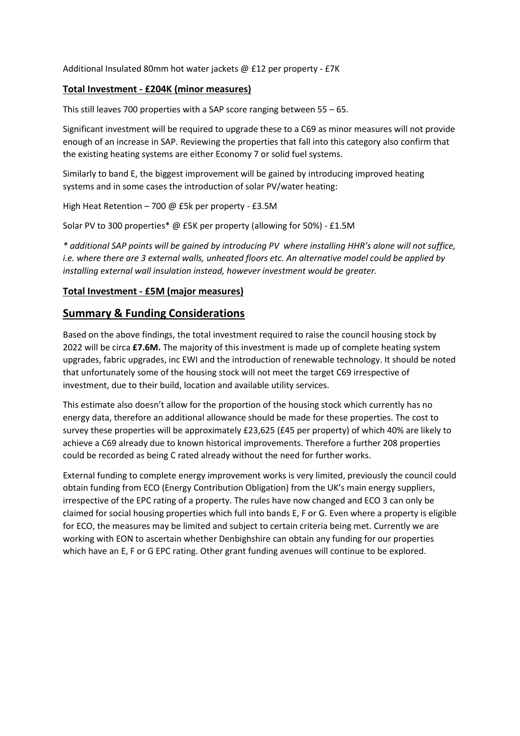Additional Insulated 80mm hot water jackets @ £12 per property - £7K

#### **Total Investment - £204K (minor measures)**

This still leaves 700 properties with a SAP score ranging between 55 – 65.

Significant investment will be required to upgrade these to a C69 as minor measures will not provide enough of an increase in SAP. Reviewing the properties that fall into this category also confirm that the existing heating systems are either Economy 7 or solid fuel systems.

Similarly to band E, the biggest improvement will be gained by introducing improved heating systems and in some cases the introduction of solar PV/water heating:

High Heat Retention – 700 @ £5k per property - £3.5M

Solar PV to 300 properties\* @ £5K per property (allowing for 50%) - £1.5M

*\* additional SAP points will be gained by introducing PV where installing HHR's alone will not suffice, i.e. where there are 3 external walls, unheated floors etc. An alternative model could be applied by installing external wall insulation instead, however investment would be greater.*

#### **Total Investment - £5M (major measures)**

## **Summary & Funding Considerations**

Based on the above findings, the total investment required to raise the council housing stock by 2022 will be circa **£7.6M.** The majority of this investment is made up of complete heating system upgrades, fabric upgrades, inc EWI and the introduction of renewable technology. It should be noted that unfortunately some of the housing stock will not meet the target C69 irrespective of investment, due to their build, location and available utility services.

This estimate also doesn't allow for the proportion of the housing stock which currently has no energy data, therefore an additional allowance should be made for these properties. The cost to survey these properties will be approximately £23,625 (£45 per property) of which 40% are likely to achieve a C69 already due to known historical improvements. Therefore a further 208 properties could be recorded as being C rated already without the need for further works.

External funding to complete energy improvement works is very limited, previously the council could obtain funding from ECO (Energy Contribution Obligation) from the UK's main energy suppliers, irrespective of the EPC rating of a property. The rules have now changed and ECO 3 can only be claimed for social housing properties which full into bands E, F or G. Even where a property is eligible for ECO, the measures may be limited and subject to certain criteria being met. Currently we are working with EON to ascertain whether Denbighshire can obtain any funding for our properties which have an E, F or G EPC rating. Other grant funding avenues will continue to be explored.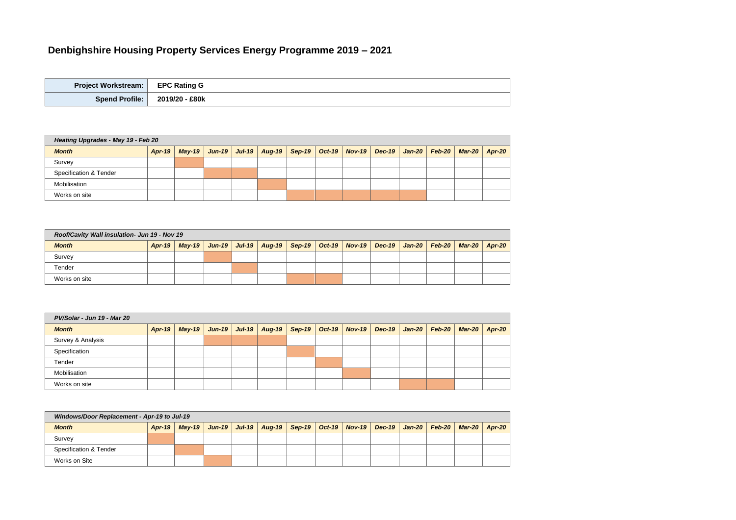# **Denbighshire Housing Property Services Energy Programme 2019 – 2021**

| <b>Project Workstream:</b> | <b>EPC Rating G</b> |
|----------------------------|---------------------|
| <b>Spend Profile:</b>      | 2019/20 - £80k      |

| Heating Upgrades - May 19 - Feb 20 |               |  |  |  |                                                                                                  |  |  |  |  |  |          |
|------------------------------------|---------------|--|--|--|--------------------------------------------------------------------------------------------------|--|--|--|--|--|----------|
| <b>Month</b>                       | <b>Apr-19</b> |  |  |  | May-19   Jun-19   Jul-19   Aug-19   Sep-19   Oct-19   Nov-19   Dec-19   Jan-20   Feb-20   Mar-20 |  |  |  |  |  | $APr-20$ |
| Survey                             |               |  |  |  |                                                                                                  |  |  |  |  |  |          |
| <b>Specification &amp; Tender</b>  |               |  |  |  |                                                                                                  |  |  |  |  |  |          |
| Mobilisation                       |               |  |  |  |                                                                                                  |  |  |  |  |  |          |
| Works on site                      |               |  |  |  |                                                                                                  |  |  |  |  |  |          |

| Roof/Cavity Wall insulation- Jun 19 - Nov 19 |        |  |  |  |                                                                                                           |  |  |  |  |  |  |
|----------------------------------------------|--------|--|--|--|-----------------------------------------------------------------------------------------------------------|--|--|--|--|--|--|
| <b>Month</b>                                 | Apr-19 |  |  |  | May-19   Jun-19   Jul-19   Aug-19   Sep-19   Oct-19   Nov-19   Dec-19   Jan-20   Feb-20   Mar-20   Apr-20 |  |  |  |  |  |  |
| Survey                                       |        |  |  |  |                                                                                                           |  |  |  |  |  |  |
| Tender                                       |        |  |  |  |                                                                                                           |  |  |  |  |  |  |
| Works on site                                |        |  |  |  |                                                                                                           |  |  |  |  |  |  |

| PV/Solar - Jun 19 - Mar 20 |        |  |  |  |  |  |  |                                                                                                           |  |  |  |
|----------------------------|--------|--|--|--|--|--|--|-----------------------------------------------------------------------------------------------------------|--|--|--|
| <b>Month</b>               | Apr-19 |  |  |  |  |  |  | May-19   Jun-19   Jul-19   Aug-19   Sep-19   Oct-19   Nov-19   Dec-19   Jan-20   Feb-20   Mar-20   Apr-20 |  |  |  |
| Survey & Analysis          |        |  |  |  |  |  |  |                                                                                                           |  |  |  |
| Specification              |        |  |  |  |  |  |  |                                                                                                           |  |  |  |
| Tender                     |        |  |  |  |  |  |  |                                                                                                           |  |  |  |
| Mobilisation               |        |  |  |  |  |  |  |                                                                                                           |  |  |  |
| Works on site              |        |  |  |  |  |  |  |                                                                                                           |  |  |  |

| Windows/Door Replacement - Apr-19 to Jul-19 |               |  |  |  |  |  |  |                                                                                                           |  |  |  |
|---------------------------------------------|---------------|--|--|--|--|--|--|-----------------------------------------------------------------------------------------------------------|--|--|--|
| <b>Month</b>                                | <b>Apr-19</b> |  |  |  |  |  |  | May-19   Jun-19   Jul-19   Aug-19   Sep-19   Oct-19   Nov-19   Dec-19   Jan-20   Feb-20   Mar-20   Apr-20 |  |  |  |
| Survey                                      |               |  |  |  |  |  |  |                                                                                                           |  |  |  |
| Specification & Tender                      |               |  |  |  |  |  |  |                                                                                                           |  |  |  |
| Works on Site                               |               |  |  |  |  |  |  |                                                                                                           |  |  |  |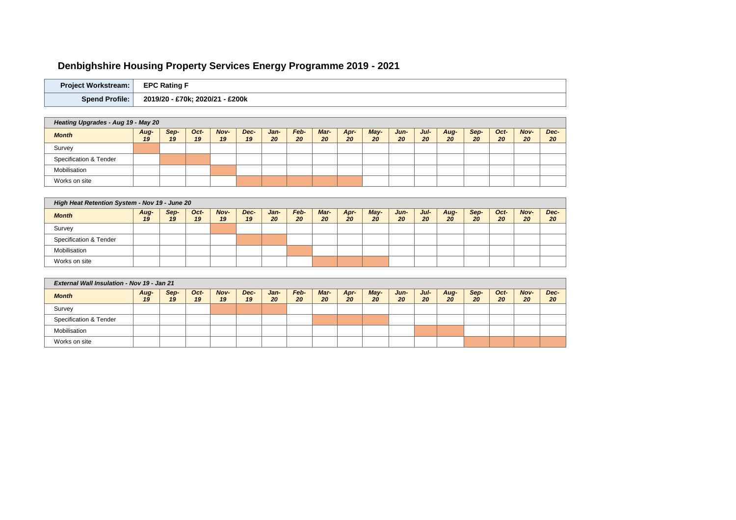# Denbighshire Housing Property Services Energy Programme 2019 - 2021

| <b>Project Workstream:</b> | <b>EPC Rating</b>                    |
|----------------------------|--------------------------------------|
| <b>Spend Profile:</b>      | £200k<br>2020/21<br>£70k;<br>2019/20 |

| Heating Upgrades - Aug 19 - May 20 |            |            |            |                   |            |                   |            |            |            |              |            |               |            |            |            |                   |            |
|------------------------------------|------------|------------|------------|-------------------|------------|-------------------|------------|------------|------------|--------------|------------|---------------|------------|------------|------------|-------------------|------------|
| <b>Month</b>                       | Aug-<br>19 | Sep-<br>19 | Oct-<br>19 | <b>Nov-</b><br>19 | Dec-<br>19 | Jan-<br><b>20</b> | Feb-<br>20 | Mar-<br>20 | Apr-<br>20 | $May-$<br>20 | Jun-<br>20 | $J$ ul-<br>20 | Aug-<br>20 | Sep-<br>20 | Oct-<br>20 | <b>Nov-</b><br>20 | Dec-<br>20 |
| Survey                             |            |            |            |                   |            |                   |            |            |            |              |            |               |            |            |            |                   |            |
| Specification & Tender             |            |            |            |                   |            |                   |            |            |            |              |            |               |            |            |            |                   |            |
| Mobilisation                       |            |            |            |                   |            |                   |            |            |            |              |            |               |            |            |            |                   |            |
| Works on site                      |            |            |            |                   |            |                   |            |            |            |              |            |               |            |            |            |                   |            |

| High Heat Retention System - Nov 19 - June 20 |            |            |            |            |            |                   |            |            |            |            |            |            |            |            |            |            |                  |
|-----------------------------------------------|------------|------------|------------|------------|------------|-------------------|------------|------------|------------|------------|------------|------------|------------|------------|------------|------------|------------------|
| <b>Month</b>                                  | Aug-<br>19 | Sep-<br>19 | Oct-<br>19 | Nov-<br>19 | Dec-<br>19 | Jan-<br><b>20</b> | Feb-<br>20 | Mar-<br>20 | Apr-<br>20 | May-<br>20 | Jun-<br>20 | Jul-<br>20 | Aug-<br>20 | Sep-<br>20 | Oct-<br>20 | Nov-<br>20 | <b>Dec</b><br>20 |
| Survey                                        |            |            |            |            |            |                   |            |            |            |            |            |            |            |            |            |            |                  |
| Specification & Tender                        |            |            |            |            |            |                   |            |            |            |            |            |            |            |            |            |            |                  |
| Mobilisation                                  |            |            |            |            |            |                   |            |            |            |            |            |            |            |            |            |            |                  |
| Works on site                                 |            |            |            |            |            |                   |            |            |            |            |            |            |            |            |            |            |                  |

| <b>External Wall Insulation - Nov 19 - Jan 21</b> |            |            |            |            |            |            |            |            |            |            |            |            |            |            |            |            |                  |
|---------------------------------------------------|------------|------------|------------|------------|------------|------------|------------|------------|------------|------------|------------|------------|------------|------------|------------|------------|------------------|
| <b>Month</b>                                      | Aug-<br>19 | Sep-<br>19 | Oct-<br>19 | Nov-<br>19 | Dec-<br>19 | Jan-<br>20 | Feb-<br>20 | Mar-<br>20 | Apr-<br>20 | May-<br>20 | Jun-<br>20 | Jul-<br>20 | Aug-<br>20 | Sep-<br>20 | Oct-<br>20 | Nov-<br>20 | <b>Dec</b><br>20 |
| Survey                                            |            |            |            |            |            |            |            |            |            |            |            |            |            |            |            |            |                  |
| <b>Specification &amp; Tender</b>                 |            |            |            |            |            |            |            |            |            |            |            |            |            |            |            |            |                  |
| Mobilisation                                      |            |            |            |            |            |            |            |            |            |            |            |            |            |            |            |            |                  |
| Works on site                                     |            |            |            |            |            |            |            |            |            |            |            |            |            |            |            |            |                  |

 $\frac{1}{\sqrt{1-\frac{1}{2}}}$ 

 $\frac{c}{\sqrt{c}}$ 

e<br>V